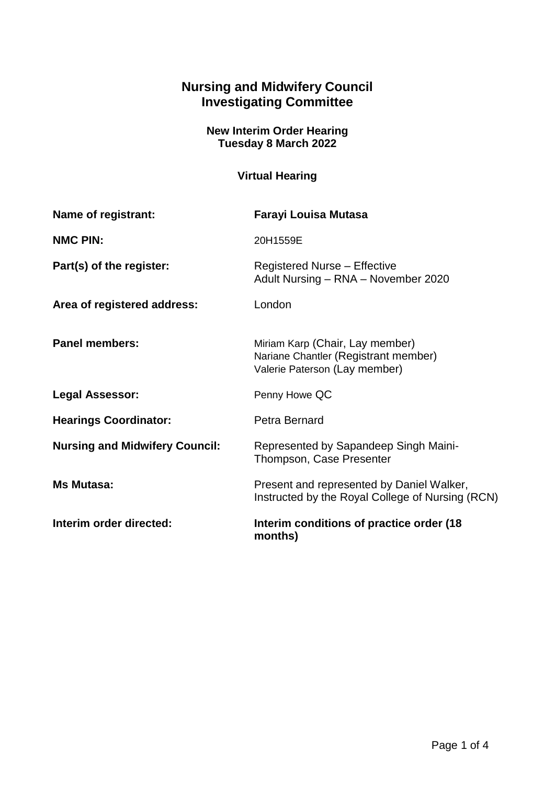## **Nursing and Midwifery Council Investigating Committee**

## **New Interim Order Hearing Tuesday 8 March 2022**

## **Virtual Hearing**

| Name of registrant:                   | Farayi Louisa Mutasa                                                                                     |
|---------------------------------------|----------------------------------------------------------------------------------------------------------|
| <b>NMC PIN:</b>                       | 20H1559E                                                                                                 |
| Part(s) of the register:              | <b>Registered Nurse - Effective</b><br>Adult Nursing - RNA - November 2020                               |
| Area of registered address:           | London                                                                                                   |
| <b>Panel members:</b>                 | Miriam Karp (Chair, Lay member)<br>Nariane Chantler (Registrant member)<br>Valerie Paterson (Lay member) |
| <b>Legal Assessor:</b>                | Penny Howe QC                                                                                            |
| <b>Hearings Coordinator:</b>          | Petra Bernard                                                                                            |
| <b>Nursing and Midwifery Council:</b> | Represented by Sapandeep Singh Maini-<br>Thompson, Case Presenter                                        |
| <b>Ms Mutasa:</b>                     | Present and represented by Daniel Walker,<br>Instructed by the Royal College of Nursing (RCN)            |
| Interim order directed:               | Interim conditions of practice order (18)<br>months)                                                     |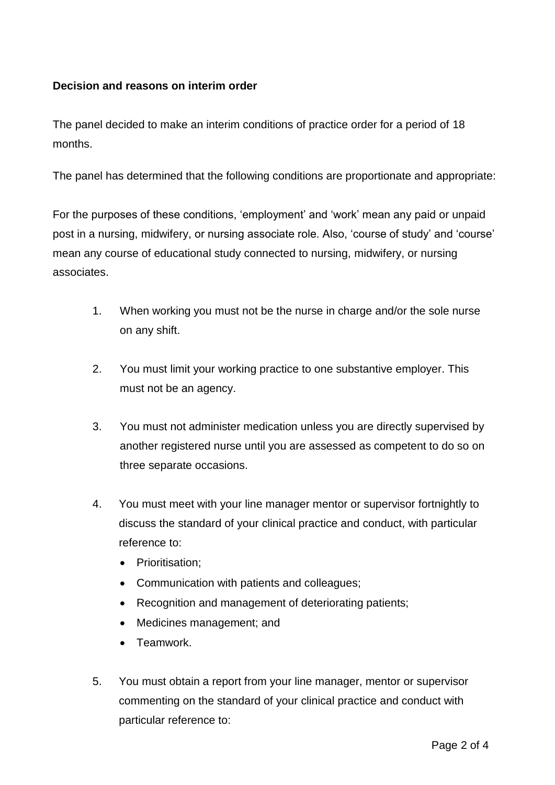## **Decision and reasons on interim order**

The panel decided to make an interim conditions of practice order for a period of 18 months.

The panel has determined that the following conditions are proportionate and appropriate:

For the purposes of these conditions, 'employment' and 'work' mean any paid or unpaid post in a nursing, midwifery, or nursing associate role. Also, 'course of study' and 'course' mean any course of educational study connected to nursing, midwifery, or nursing associates.

- 1. When working you must not be the nurse in charge and/or the sole nurse on any shift.
- 2. You must limit your working practice to one substantive employer. This must not be an agency.
- 3. You must not administer medication unless you are directly supervised by another registered nurse until you are assessed as competent to do so on three separate occasions.
- 4. You must meet with your line manager mentor or supervisor fortnightly to discuss the standard of your clinical practice and conduct, with particular reference to:
	- Prioritisation:
	- Communication with patients and colleagues;
	- Recognition and management of deteriorating patients;
	- Medicines management; and
	- Teamwork.
- 5. You must obtain a report from your line manager, mentor or supervisor commenting on the standard of your clinical practice and conduct with particular reference to: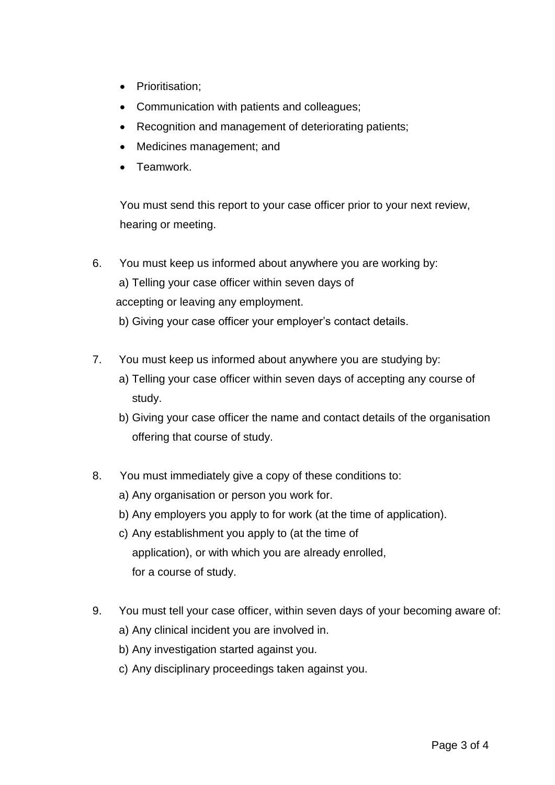- Prioritisation;
- Communication with patients and colleagues;
- Recognition and management of deteriorating patients;
- Medicines management; and
- Teamwork.

You must send this report to your case officer prior to your next review, hearing or meeting.

- 6. You must keep us informed about anywhere you are working by: a) Telling your case officer within seven days of accepting or leaving any employment. b) Giving your case officer your employer's contact details.
- 7. You must keep us informed about anywhere you are studying by:
	- a) Telling your case officer within seven days of accepting any course of study.
	- b) Giving your case officer the name and contact details of the organisation offering that course of study.
- 8. You must immediately give a copy of these conditions to:
	- a) Any organisation or person you work for.
	- b) Any employers you apply to for work (at the time of application).
	- c) Any establishment you apply to (at the time of application), or with which you are already enrolled, for a course of study.
- 9. You must tell your case officer, within seven days of your becoming aware of:
	- a) Any clinical incident you are involved in.
	- b) Any investigation started against you.
	- c) Any disciplinary proceedings taken against you.